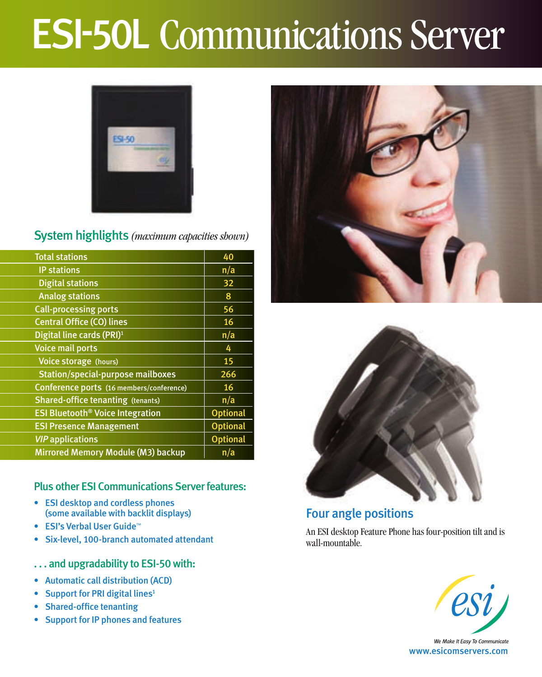# ESI-50L Communications Server



## System highlights *(maximum capacities shown)*

| <b>Total stations</b>                              | 40              |
|----------------------------------------------------|-----------------|
| <b>IP stations</b>                                 | n/a             |
| <b>Digital stations</b>                            | 32              |
| <b>Analog stations</b>                             | 8               |
| <b>Call-processing ports</b>                       | 56              |
| <b>Central Office (CO) lines</b>                   | 16              |
| Digital line cards (PRI) <sup>1</sup>              | n/a             |
| <b>Voice mail ports</b>                            | 4               |
| Voice storage (hours)                              | 15              |
| <b>Station/special-purpose mailboxes</b>           | 266             |
| Conference ports (16 members/conference)           | 16              |
| <b>Shared-office tenanting (tenants)</b>           | n/a             |
| <b>ESI Bluetooth<sup>®</sup> Voice Integration</b> | <b>Optional</b> |
| <b>ESI Presence Management</b>                     | <b>Optional</b> |
| <b>VIP</b> applications                            | <b>Optional</b> |
| Mirrored Memory Module (M3) backup                 | n/a             |

### Plus other ESI Communications Server features:

- ESI desktop and cordless phones (some available with backlit displays)
- • ESI's Verbal User Guide™
- • Six-level, 100-branch automated attendant
- ... and upgradability to ESI-50 with:
- • Automatic call distribution (ACD)
- Support for PRI digital lines<sup>1</sup>
- • Shared-office tenanting
- • Support for IP phones and features





## Four angle positions

An ESI desktop Feature Phone has four-position tilt and is wall-mountable.



www.esicomservers.com